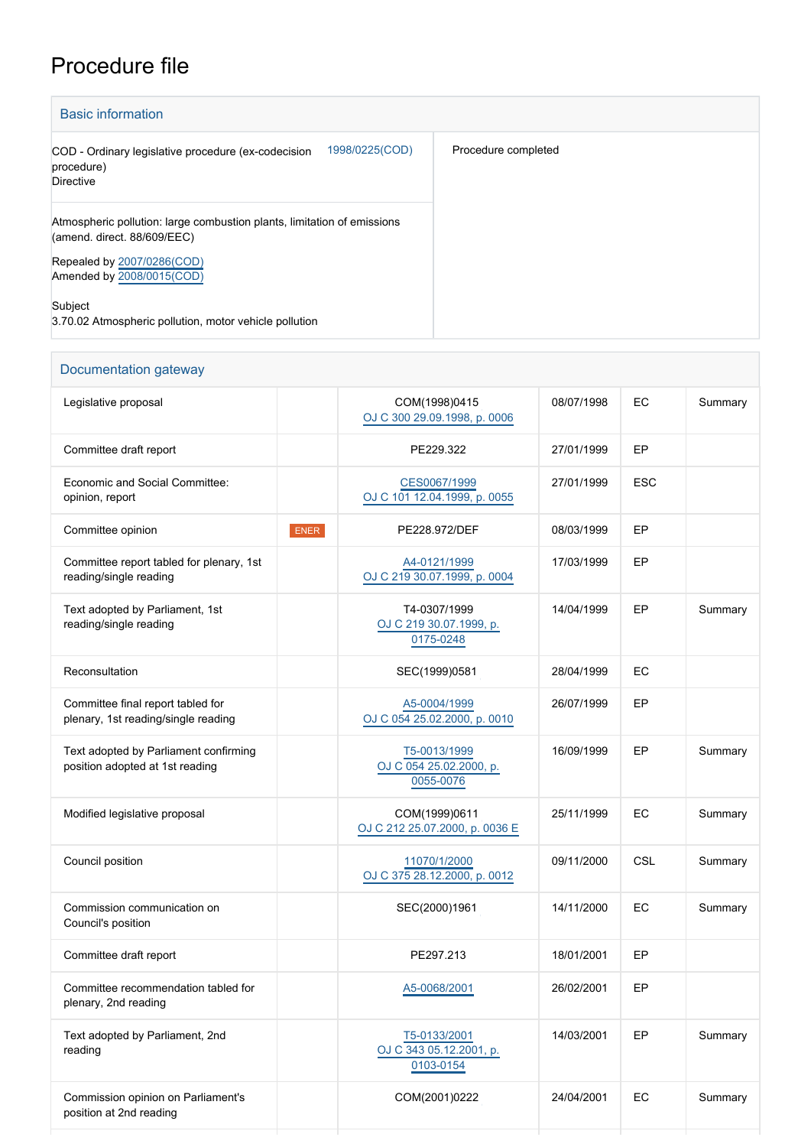## Procedure file

Commission opinion on Parliament's

position at 2nd reading

| <b>Basic information</b>                                                                               |                     |
|--------------------------------------------------------------------------------------------------------|---------------------|
| 1998/0225(COD)<br>COD - Ordinary legislative procedure (ex-codecision<br>procedure)<br>Directive       | Procedure completed |
| Atmospheric pollution: large combustion plants, limitation of emissions<br>(amend. direct. 88/609/EEC) |                     |
| Repealed by 2007/0286(COD)<br>Amended by 2008/0015(COD)                                                |                     |
| Subject<br>3.70.02 Atmospheric pollution, motor vehicle pollution                                      |                     |

## Documentation gateway Legislative proposal and the community of the community community community community community community community community community community community community community community community community community commun [OJ C 300 29.09.1998, p. 0006](https://eur-lex.europa.eu/JOHtml.do?uri=OJ:C:1998:300:SOM:EN:HTML) 08/07/1998 EC Summary Committee draft report **PE229.322** 27/01/1999 EP Economic and Social Committee: opinion, report [CES0067/1999](https://dmsearch.eesc.europa.eu/search/public?k=(documenttype:AC)(documentnumber:0067)(documentyear:1999)(documentlanguage:EN)) [OJ C 101 12.04.1999, p. 0055](https://eur-lex.europa.eu/JOHtml.do?uri=OJ:C:1999:101:SOM:EN:HTML) 27/01/1999 ESC Committee opinion ENER PE228.972/DEF 08/03/1999 EP Committee report tabled for plenary, 1st reading/single reading [A4-0121/1999](https://www.europarl.europa.eu/doceo/document/A-4-1999-0121_EN.html) [OJ C 219 30.07.1999, p. 0004](https://eur-lex.europa.eu/legal-content/EN/TXT/?uri=OJ:C:1999:219:TOC) 17/03/1999 EP Text adopted by Parliament, 1st reading/single reading T4-0307/1999 [OJ C 219 30.07.1999, p.](https://eur-lex.europa.eu/JOHtml.do?uri=OJ:C:1999:219:SOM:EN:HTML) [0175-0248](https://eur-lex.europa.eu/JOHtml.do?uri=OJ:C:1999:219:SOM:EN:HTML) 14/04/1999 EP Summary Reconsultation **SEC(1999)0581** 28/04/1999 EC Committee final report tabled for plenary, 1st reading/single reading [A5-0004/1999](https://www.europarl.europa.eu/doceo/document/A-5-1999-0004_EN.html) [OJ C 054 25.02.2000, p. 0010](https://eur-lex.europa.eu/legal-content/EN/TXT/?uri=OJ:C:2000:054:TOC) 26/07/1999 EP Text adopted by Parliament confirming position adopted at 1st reading [T5-0013/1999](https://www.europarl.europa.eu/doceo/document/TA-5-1999-0013_EN.html) [OJ C 054 25.02.2000, p.](https://eur-lex.europa.eu/legal-content/EN/TXT/?uri=OJ:C:2000:054:TOC) [0055-0076](https://eur-lex.europa.eu/legal-content/EN/TXT/?uri=OJ:C:2000:054:TOC) 16/09/1999 EP Summary Modified legislative proposal COM(1999)0611 [OJ C 212 25.07.2000, p. 0036 E](https://eur-lex.europa.eu/JOHtml.do?uri=OJ:C:2000:212E:SOM:EN:HTML) 25/11/1999 EC Summary Council position [11070/1/2000](http://register.consilium.europa.eu/content/out?lang=EN&typ=SET&i=ADV&RESULTSET=1&DOC_ID=11070%2F00&DOC_LANCD=EN&ROWSPP=25&NRROWS=500&ORDERBY=DOC_DATE+DESC) [OJ C 375 28.12.2000, p. 0012](https://eur-lex.europa.eu/legal-content/EN/TXT/?uri=OJ:C:2000:375:TOC) 09/11/2000 CSL Summary Commission communication on Council's position SEC(2000)1961 14/11/2000 EC Summary Committee draft report **PE297.213** 18/01/2001 EP Committee recommendation tabled for plenary, 2nd reading [A5-0068/2001](https://www.europarl.europa.eu/doceo/document/A-5-2001-0068_EN.html) 26/02/2001 EP Text adopted by Parliament, 2nd reading [T5-0133/2001](https://www.europarl.europa.eu/doceo/document/TA-5-2001-0133_EN.html) [OJ C 343 05.12.2001, p.](https://eur-lex.europa.eu/legal-content/EN/TXT/?uri=OJ:C:2001:343:TOC) 14/03/2001 EP Summary

[0103-0154](https://eur-lex.europa.eu/legal-content/EN/TXT/?uri=OJ:C:2001:343:TOC)

COM(2001)0222 24/04/2001 EC Summary